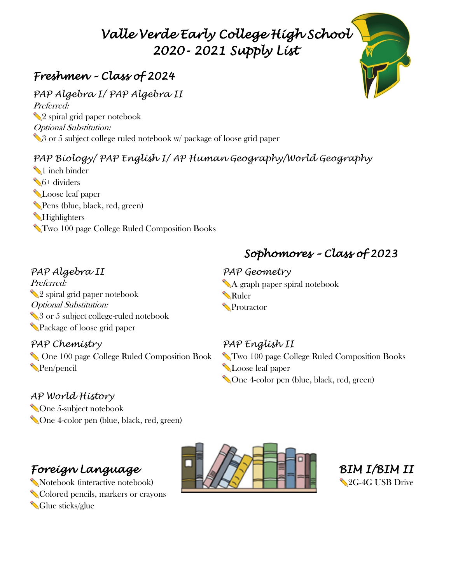# *Valle Verde Early College High School 2020- 2021 Supply List*

# *Freshmen – Class of 2024*

*PAP Algebra I/ PAP Algebra II* Preferred: ✏2 spiral grid paper notebook Optional Substitution: √3 or 5 subject college ruled notebook w/ package of loose grid paper

## *PAP Biology/ PAP English I/ AP Human Geography/World Geography*

✏1 inch binder **S**<sup>6+</sup> dividers **N**Loose leaf paper ✏Pens (blue, black, red, green) ✏Highlighters ✏Two 100 page College Ruled Composition Books

# *PAP Algebra II*

Preferred: ✏2 spiral grid paper notebook Optional Substitution: S or 5 subject college-ruled notebook ✏Package of loose grid paper

### *PAP Chemistry*

✏ One 100 page College Ruled Composition Book ✏Pen/pencil

### *AP World History*

✏One 5-subject notebook ✏One 4-color pen (blue, black, red, green)

# *Foreign Language*

✏Notebook (interactive notebook) ✏Colored pencils, markers or crayons Glue sticks/glue





# ✏A graph paper spiral notebook

### *PAP English II*

✏Two 100 page College Ruled Composition Books **N**Loose leaf paper ✏One 4-color pen (blue, black, red, green)

# *Sophomores – Class of 2023*

# *PAP Geometry*

**Nuler** ✏Protractor